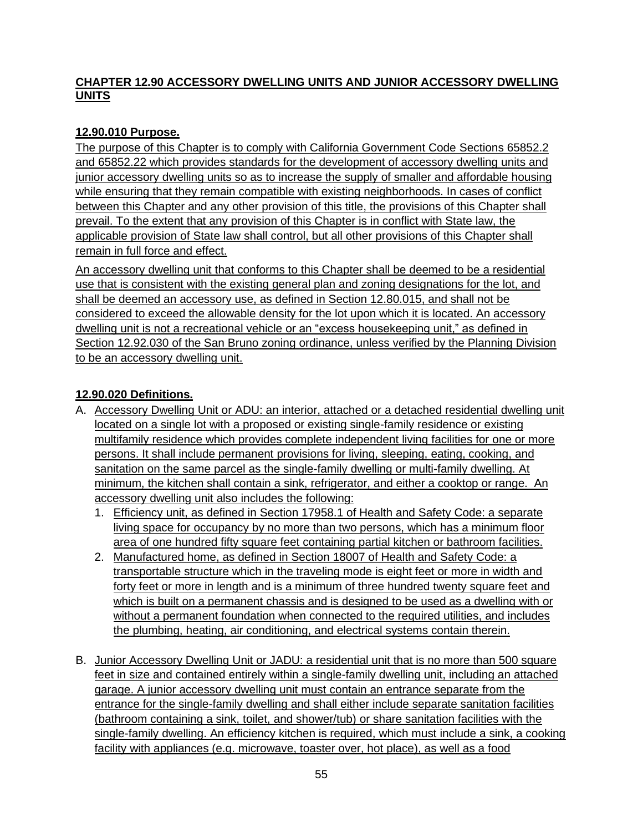#### **CHAPTER 12.90 ACCESSORY DWELLING UNITS AND JUNIOR ACCESSORY DWELLING UNITS**

### **12.90.010 Purpose.**

The purpose of this Chapter is to comply with California Government Code Sections 65852.2 and 65852.22 which provides standards for the development of accessory dwelling units and junior accessory dwelling units so as to increase the supply of smaller and affordable housing while ensuring that they remain compatible with existing neighborhoods. In cases of conflict between this Chapter and any other provision of this title, the provisions of this Chapter shall prevail. To the extent that any provision of this Chapter is in conflict with State law, the applicable provision of State law shall control, but all other provisions of this Chapter shall remain in full force and effect.

An accessory dwelling unit that conforms to this Chapter shall be deemed to be a residential use that is consistent with the existing general plan and zoning designations for the lot, and shall be deemed an accessory use, as defined in Section 12.80.015, and shall not be considered to exceed the allowable density for the lot upon which it is located. An accessory dwelling unit is not a recreational vehicle or an "excess housekeeping unit," as defined in Section 12.92.030 of the San Bruno zoning ordinance, unless verified by the Planning Division to be an accessory dwelling unit.

#### **12.90.020 Definitions.**

- A. Accessory Dwelling Unit or ADU: an interior, attached or a detached residential dwelling unit located on a single lot with a proposed or existing single-family residence or existing multifamily residence which provides complete independent living facilities for one or more persons. It shall include permanent provisions for living, sleeping, eating, cooking, and sanitation on the same parcel as the single-family dwelling or multi-family dwelling. At minimum, the kitchen shall contain a sink, refrigerator, and either a cooktop or range. An accessory dwelling unit also includes the following:
	- 1. Efficiency unit, as defined in Section 17958.1 of Health and Safety Code: a separate living space for occupancy by no more than two persons, which has a minimum floor area of one hundred fifty square feet containing partial kitchen or bathroom facilities.
	- 2. Manufactured home, as defined in Section 18007 of Health and Safety Code: a transportable structure which in the traveling mode is eight feet or more in width and forty feet or more in length and is a minimum of three hundred twenty square feet and which is built on a permanent chassis and is designed to be used as a dwelling with or without a permanent foundation when connected to the required utilities, and includes the plumbing, heating, air conditioning, and electrical systems contain therein.
- B. Junior Accessory Dwelling Unit or JADU: a residential unit that is no more than 500 square feet in size and contained entirely within a single-family dwelling unit, including an attached garage. A junior accessory dwelling unit must contain an entrance separate from the entrance for the single-family dwelling and shall either include separate sanitation facilities (bathroom containing a sink, toilet, and shower/tub) or share sanitation facilities with the single-family dwelling. An efficiency kitchen is required, which must include a sink, a cooking facility with appliances (e.g. microwave, toaster over, hot place), as well as a food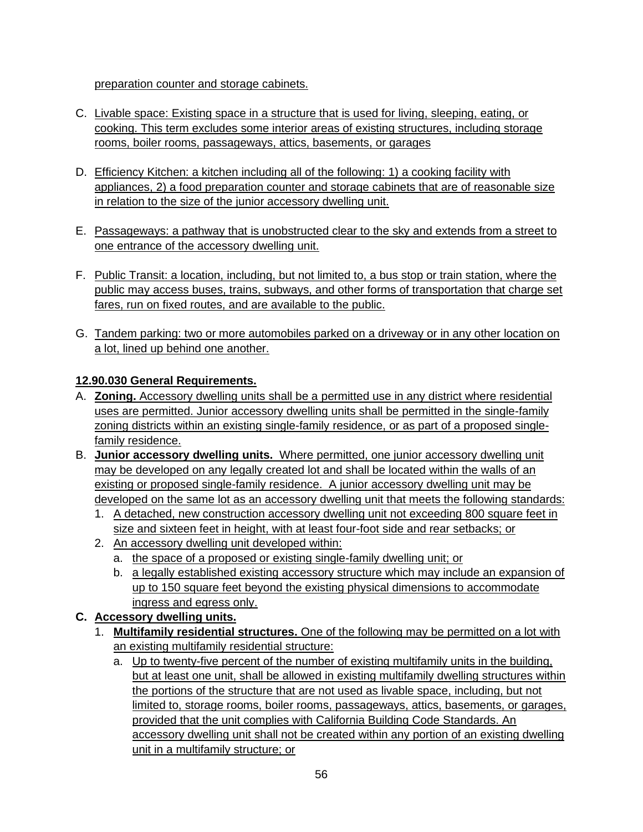preparation counter and storage cabinets.

- C. Livable space: Existing space in a structure that is used for living, sleeping, eating, or cooking. This term excludes some interior areas of existing structures, including storage rooms, boiler rooms, passageways, attics, basements, or garages
- D. Efficiency Kitchen: a kitchen including all of the following: 1) a cooking facility with appliances, 2) a food preparation counter and storage cabinets that are of reasonable size in relation to the size of the junior accessory dwelling unit.
- E. Passageways: a pathway that is unobstructed clear to the sky and extends from a street to one entrance of the accessory dwelling unit.
- F. Public Transit: a location, including, but not limited to, a bus stop or train station, where the public may access buses, trains, subways, and other forms of transportation that charge set fares, run on fixed routes, and are available to the public.
- G. Tandem parking: two or more automobiles parked on a driveway or in any other location on a lot, lined up behind one another.

### **12.90.030 General Requirements.**

- A. **Zoning.** Accessory dwelling units shall be a permitted use in any district where residential uses are permitted. Junior accessory dwelling units shall be permitted in the single-family zoning districts within an existing single-family residence, or as part of a proposed singlefamily residence.
- B. **Junior accessory dwelling units.** Where permitted, one junior accessory dwelling unit may be developed on any legally created lot and shall be located within the walls of an existing or proposed single-family residence. A junior accessory dwelling unit may be developed on the same lot as an accessory dwelling unit that meets the following standards:
	- 1. A detached, new construction accessory dwelling unit not exceeding 800 square feet in size and sixteen feet in height, with at least four-foot side and rear setbacks; or
	- 2. An accessory dwelling unit developed within:
		- a. the space of a proposed or existing single-family dwelling unit; or
		- b. a legally established existing accessory structure which may include an expansion of up to 150 square feet beyond the existing physical dimensions to accommodate ingress and egress only.

### **C. Accessory dwelling units.**

- 1. **Multifamily residential structures.** One of the following may be permitted on a lot with an existing multifamily residential structure:
	- a. Up to twenty-five percent of the number of existing multifamily units in the building, but at least one unit, shall be allowed in existing multifamily dwelling structures within the portions of the structure that are not used as livable space, including, but not limited to, storage rooms, boiler rooms, passageways, attics, basements, or garages, provided that the unit complies with California Building Code Standards. An accessory dwelling unit shall not be created within any portion of an existing dwelling unit in a multifamily structure; or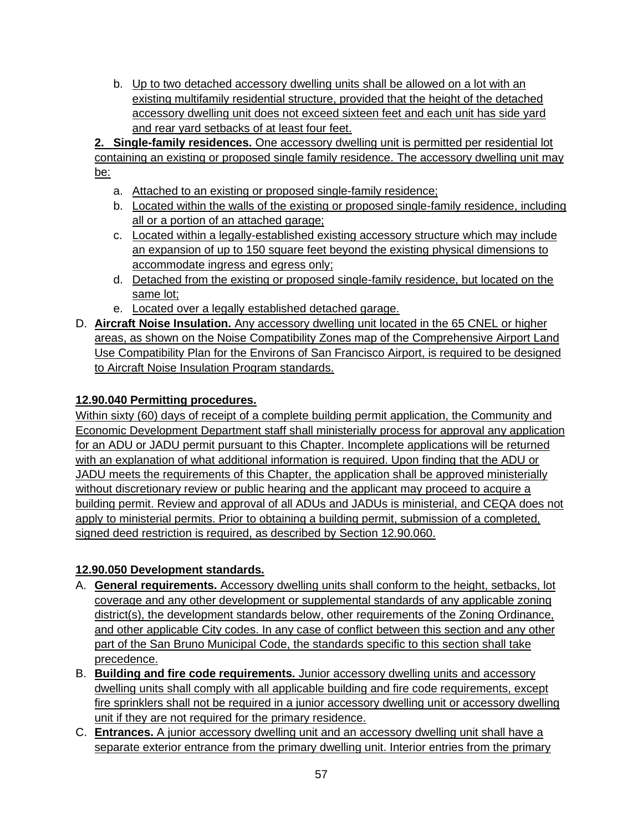b. Up to two detached accessory dwelling units shall be allowed on a lot with an existing multifamily residential structure, provided that the height of the detached accessory dwelling unit does not exceed sixteen feet and each unit has side yard and rear yard setbacks of at least four feet.

**2. Single-family residences.** One accessory dwelling unit is permitted per residential lot containing an existing or proposed single family residence. The accessory dwelling unit may be:

- a. Attached to an existing or proposed single-family residence;
- b. Located within the walls of the existing or proposed single-family residence, including all or a portion of an attached garage;
- c. Located within a legally-established existing accessory structure which may include an expansion of up to 150 square feet beyond the existing physical dimensions to accommodate ingress and egress only;
- d. Detached from the existing or proposed single-family residence, but located on the same lot;
- e. Located over a legally established detached garage.
- D. **Aircraft Noise Insulation.** Any accessory dwelling unit located in the 65 CNEL or higher areas, as shown on the Noise Compatibility Zones map of the Comprehensive Airport Land Use Compatibility Plan for the Environs of San Francisco Airport, is required to be designed to Aircraft Noise Insulation Program standards.

### **12.90.040 Permitting procedures.**

Within sixty (60) days of receipt of a complete building permit application, the Community and Economic Development Department staff shall ministerially process for approval any application for an ADU or JADU permit pursuant to this Chapter. Incomplete applications will be returned with an explanation of what additional information is required. Upon finding that the ADU or JADU meets the requirements of this Chapter, the application shall be approved ministerially without discretionary review or public hearing and the applicant may proceed to acquire a building permit. Review and approval of all ADUs and JADUs is ministerial, and CEQA does not apply to ministerial permits. Prior to obtaining a building permit, submission of a completed, signed deed restriction is required, as described by Section 12.90.060.

## **12.90.050 Development standards.**

- A. **General requirements.** Accessory dwelling units shall conform to the height, setbacks, lot coverage and any other development or supplemental standards of any applicable zoning district(s), the development standards below, other requirements of the Zoning Ordinance, and other applicable City codes. In any case of conflict between this section and any other part of the San Bruno Municipal Code, the standards specific to this section shall take precedence.
- B. **Building and fire code requirements.** Junior accessory dwelling units and accessory dwelling units shall comply with all applicable building and fire code requirements, except fire sprinklers shall not be required in a junior accessory dwelling unit or accessory dwelling unit if they are not required for the primary residence.
- C. **Entrances.** A junior accessory dwelling unit and an accessory dwelling unit shall have a separate exterior entrance from the primary dwelling unit. Interior entries from the primary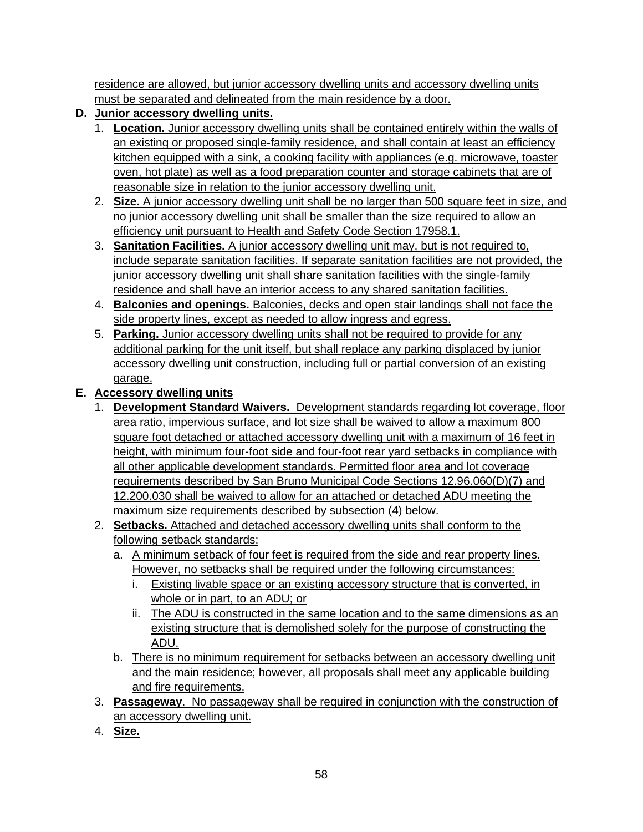residence are allowed, but junior accessory dwelling units and accessory dwelling units must be separated and delineated from the main residence by a door.

- **D. Junior accessory dwelling units.**
	- 1. **Location.** Junior accessory dwelling units shall be contained entirely within the walls of an existing or proposed single-family residence, and shall contain at least an efficiency kitchen equipped with a sink, a cooking facility with appliances (e.g. microwave, toaster oven, hot plate) as well as a food preparation counter and storage cabinets that are of reasonable size in relation to the junior accessory dwelling unit.
	- 2. **Size.** A junior accessory dwelling unit shall be no larger than 500 square feet in size, and no junior accessory dwelling unit shall be smaller than the size required to allow an efficiency unit pursuant to Health and Safety Code Section 17958.1.
	- 3. **Sanitation Facilities.** A junior accessory dwelling unit may, but is not required to, include separate sanitation facilities. If separate sanitation facilities are not provided, the junior accessory dwelling unit shall share sanitation facilities with the single-family residence and shall have an interior access to any shared sanitation facilities.
	- 4. **Balconies and openings.** Balconies, decks and open stair landings shall not face the side property lines, except as needed to allow ingress and egress.
	- 5. **Parking.** Junior accessory dwelling units shall not be required to provide for any additional parking for the unit itself, but shall replace any parking displaced by junior accessory dwelling unit construction, including full or partial conversion of an existing garage.

## **E. Accessory dwelling units**

- 1. **Development Standard Waivers.** Development standards regarding lot coverage, floor area ratio, impervious surface, and lot size shall be waived to allow a maximum 800 square foot detached or attached accessory dwelling unit with a maximum of 16 feet in height, with minimum four-foot side and four-foot rear yard setbacks in compliance with all other applicable development standards. Permitted floor area and lot coverage requirements described by San Bruno Municipal Code Sections 12.96.060(D)(7) and 12.200.030 shall be waived to allow for an attached or detached ADU meeting the maximum size requirements described by subsection (4) below.
- 2. **Setbacks.** Attached and detached accessory dwelling units shall conform to the following setback standards:
	- a. A minimum setback of four feet is required from the side and rear property lines. However, no setbacks shall be required under the following circumstances:
		- i. Existing livable space or an existing accessory structure that is converted, in whole or in part, to an ADU; or
		- ii. The ADU is constructed in the same location and to the same dimensions as an existing structure that is demolished solely for the purpose of constructing the ADU.
	- b. There is no minimum requirement for setbacks between an accessory dwelling unit and the main residence; however, all proposals shall meet any applicable building and fire requirements.
- 3. **Passageway**. No passageway shall be required in conjunction with the construction of an accessory dwelling unit.
- 4. **Size.**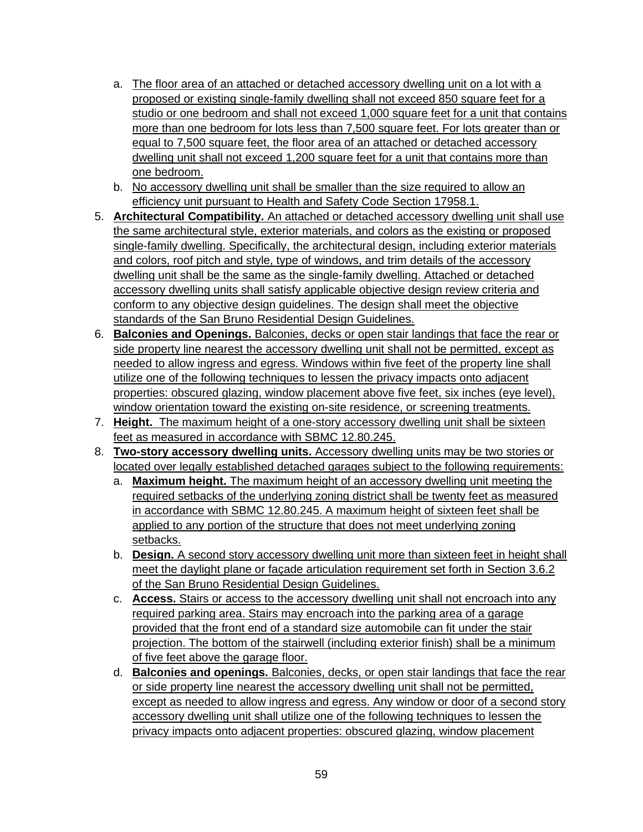- a. The floor area of an attached or detached accessory dwelling unit on a lot with a proposed or existing single-family dwelling shall not exceed 850 square feet for a studio or one bedroom and shall not exceed 1,000 square feet for a unit that contains more than one bedroom for lots less than 7,500 square feet. For lots greater than or equal to 7,500 square feet, the floor area of an attached or detached accessory dwelling unit shall not exceed 1,200 square feet for a unit that contains more than one bedroom.
- b. No accessory dwelling unit shall be smaller than the size required to allow an efficiency unit pursuant to Health and Safety Code Section 17958.1.
- 5. **Architectural Compatibility.** An attached or detached accessory dwelling unit shall use the same architectural style, exterior materials, and colors as the existing or proposed single-family dwelling. Specifically, the architectural design, including exterior materials and colors, roof pitch and style, type of windows, and trim details of the accessory dwelling unit shall be the same as the single-family dwelling. Attached or detached accessory dwelling units shall satisfy applicable objective design review criteria and conform to any objective design guidelines. The design shall meet the objective standards of the San Bruno Residential Design Guidelines.
- 6. **Balconies and Openings.** Balconies, decks or open stair landings that face the rear or side property line nearest the accessory dwelling unit shall not be permitted, except as needed to allow ingress and egress. Windows within five feet of the property line shall utilize one of the following techniques to lessen the privacy impacts onto adjacent properties: obscured glazing, window placement above five feet, six inches (eye level), window orientation toward the existing on-site residence, or screening treatments.
- 7. **Height.** The maximum height of a one-story accessory dwelling unit shall be sixteen feet as measured in accordance with SBMC 12.80.245.
- 8. **Two-story accessory dwelling units.** Accessory dwelling units may be two stories or located over legally established detached garages subject to the following requirements:
	- a. **Maximum height.** The maximum height of an accessory dwelling unit meeting the required setbacks of the underlying zoning district shall be twenty feet as measured in accordance with SBMC 12.80.245. A maximum height of sixteen feet shall be applied to any portion of the structure that does not meet underlying zoning setbacks.
	- b. **D esign.** A second story accessory dwelling unit more than sixteen feet in height shall meet the daylight plane or facade articulation requirement set forth in Section 3.6.2 of the San Bruno Residential Design Guidelines .
	- c. **Access.** Stairs or access to the accessory dwelling unit shall not encroach into any required parking area. Stairs may encroach into the parking area of a garage provided that the front end of a standard size automobile can fit under the stair projection. The bottom of the stairwell (including exterior finish) shall be a minimum of five feet above the garage floor.
	- d. **Balconies and openings.** Balconies, decks, or open stair landings that face the rear or side property line nearest the accessory dwelling unit shall not be permitted, except as needed to allow ingress and egress. Any window or door of a second story accessory dwelling unit shall utilize one of the following techniques to lessen the privacy impacts onto adjacent properties: obscured glazing, window placement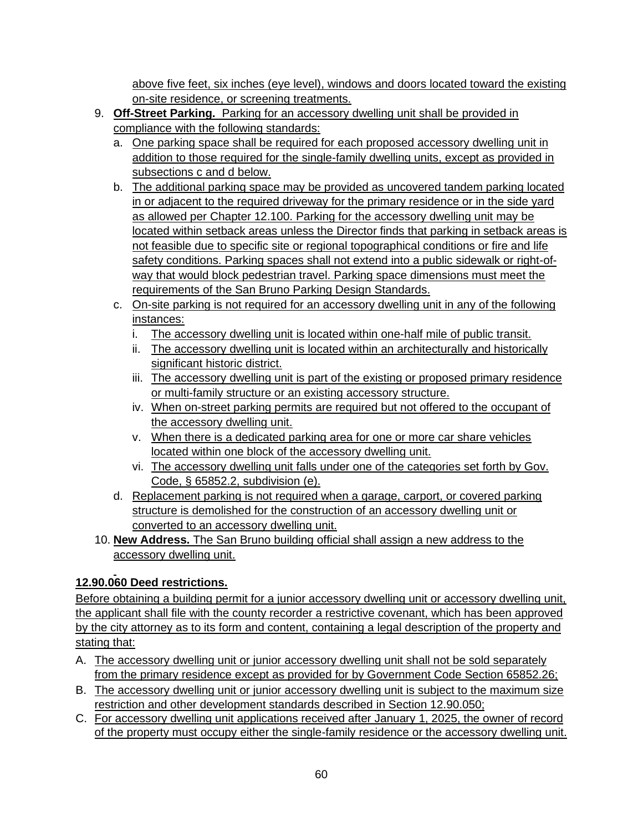above five feet, six inches (eye level), windows and doors located toward the existing on-site residence, or screening treatments.

- 9. **Off-Street Parking.** Parking for an accessory dwelling unit shall be provided in compliance with the following standards:
	- a. One parking space shall be required for each proposed accessory dwelling unit in addition to those required for the single-family dwelling units, except as provided in subsections c and d below.
	- b. The additional parking space may be provided as uncovered tandem parking located in or adjacent to the required driveway for the primary residence or in the side yard as allowed per Chapter 12.100. Parking for the accessory dwelling unit may be located within setback areas unless the Director finds that parking in setback areas is not feasible due to specific site or regional topographical conditions or fire and life safety conditions. Parking spaces shall not extend into a public sidewalk or right-ofway that would block pedestrian travel. Parking space dimensions must meet the requirements of the San Bruno Parking Design Standards.
	- c. On-site parking is not required for an accessory dwelling unit in any of the following instances:
		- i. The accessory dwelling unit is located within one-half mile of public transit.
		- ii. The accessory dwelling unit is located within an architecturally and historically significant historic district.
		- iii. The accessory dwelling unit is part of the existing or proposed primary residence or multi-family structure or an existing accessory structure.
		- iv. When on-street parking permits are required but not offered to the occupant of the accessory dwelling unit.
		- v. When there is a dedicated parking area for one or more car share vehicles located within one block of the accessory dwelling unit.
		- vi. The accessory dwelling unit falls under one of the categories set forth by Gov. Code, § 65852.2, subdivision (e).
	- d. Replacement parking is not required when a garage, carport, or covered parking structure is demolished for the construction of an accessory dwelling unit or converted to an accessory dwelling unit.
- 10. **New Address.** The San Bruno building official shall assign a new address to the accessory dwelling unit.

# **12.90.060 Deed restrictions.**

Before obtaining a building permit for a junior accessory dwelling unit or accessory dwelling unit, the applicant shall file with the county recorder a restrictive covenant, which has been approved by the city attorney as to its form and content, containing a legal description of the property and stating that:

- A. The accessory dwelling unit or junior accessory dwelling unit shall not be sold separately from the primary residence except as provided for by Government Code Section 65852.26;
- B. The accessory dwelling unit or junior accessory dwelling unit is subject to the maximum size restriction and other development standards described in Section 12.90.050;
- C. For accessory dwelling unit applications received after January 1, 2025, the owner of record of the property must occupy either the single-family residence or the accessory dwelling unit.